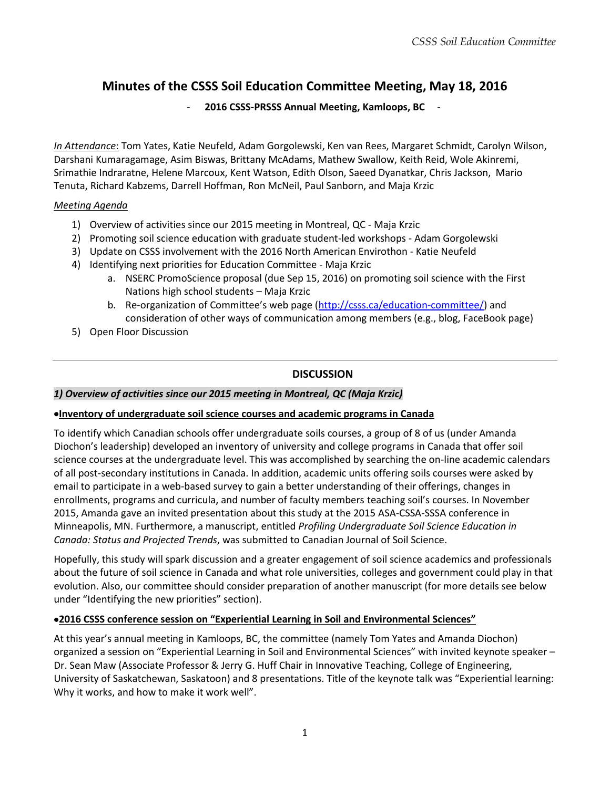# **Minutes of the CSSS Soil Education Committee Meeting, May 18, 2016**

#### - **2016 CSSS-PRSSS Annual Meeting, Kamloops, BC** -

*In Attendance*: Tom Yates, Katie Neufeld, Adam Gorgolewski, Ken van Rees, Margaret Schmidt, Carolyn Wilson, Darshani Kumaragamage, Asim Biswas, Brittany McAdams, Mathew Swallow, Keith Reid, Wole Akinremi, Srimathie Indraratne, Helene Marcoux, Kent Watson, Edith Olson, Saeed Dyanatkar, Chris Jackson, Mario Tenuta, Richard Kabzems, Darrell Hoffman, Ron McNeil, Paul Sanborn, and Maja Krzic

#### *Meeting Agenda*

- 1) Overview of activities since our 2015 meeting in Montreal, QC Maja Krzic
- 2) Promoting soil science education with graduate student-led workshops Adam Gorgolewski
- 3) Update on CSSS involvement with the 2016 North American Envirothon Katie Neufeld
- 4) Identifying next priorities for Education Committee Maja Krzic
	- a. NSERC PromoScience proposal (due Sep 15, 2016) on promoting soil science with the First Nations high school students – Maja Krzic
	- b. Re-organization of Committee's web page ([http://csss.ca/education-committee/\)](http://csss.ca/education-committee/) and consideration of other ways of communication among members (e.g., blog, FaceBook page)
- 5) Open Floor Discussion

## **DISCUSSION**

#### *1) Overview of activities since our 2015 meeting in Montreal, QC (Maja Krzic)*

#### **Inventory of undergraduate soil science courses and academic programs in Canada**

To identify which Canadian schools offer undergraduate soils courses, a group of 8 of us (under Amanda Diochon's leadership) developed an inventory of university and college programs in Canada that offer soil science courses at the undergraduate level. This was accomplished by searching the on-line academic calendars of all post-secondary institutions in Canada. In addition, academic units offering soils courses were asked by email to participate in a web-based survey to gain a better understanding of their offerings, changes in enrollments, programs and curricula, and number of faculty members teaching soil's courses. In November 2015, Amanda gave an invited presentation about this study at the 2015 ASA-CSSA-SSSA conference in Minneapolis, MN. Furthermore, a manuscript, entitled *Profiling Undergraduate Soil Science Education in Canada: Status and Projected Trends*, was submitted to Canadian Journal of Soil Science.

Hopefully, this study will spark discussion and a greater engagement of soil science academics and professionals about the future of soil science in Canada and what role universities, colleges and government could play in that evolution. Also, our committee should consider preparation of another manuscript (for more details see below under "Identifying the new priorities" section).

#### **2016 CSSS conference session on "Experiential Learning in Soil and Environmental Sciences"**

At this year's annual meeting in Kamloops, BC, the committee (namely Tom Yates and Amanda Diochon) organized a session on "Experiential Learning in Soil and Environmental Sciences" with invited keynote speaker – Dr. Sean Maw (Associate Professor & Jerry G. Huff Chair in Innovative Teaching, College of Engineering, University of Saskatchewan, Saskatoon) and 8 presentations. Title of the keynote talk was "Experiential learning: Why it works, and how to make it work well".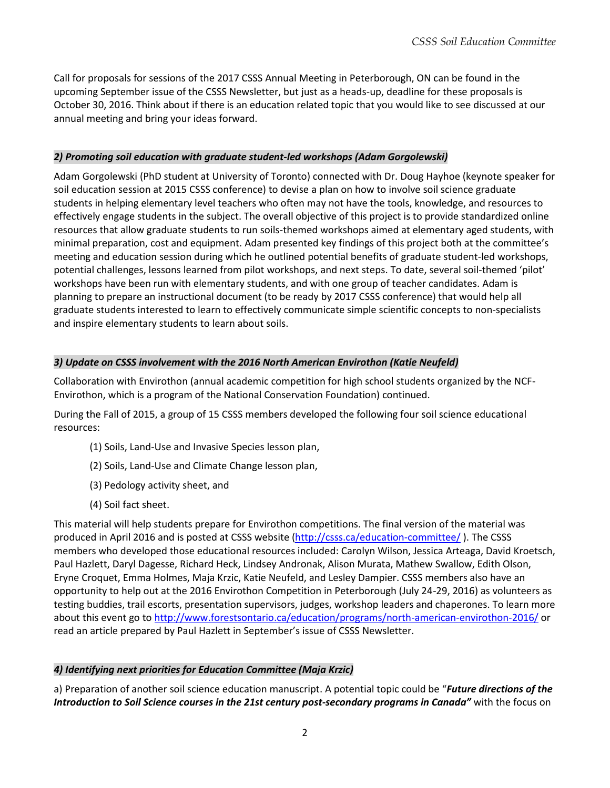Call for proposals for sessions of the 2017 CSSS Annual Meeting in Peterborough, ON can be found in the upcoming September issue of the CSSS Newsletter, but just as a heads-up, deadline for these proposals is October 30, 2016. Think about if there is an education related topic that you would like to see discussed at our annual meeting and bring your ideas forward.

#### *2) Promoting soil education with graduate student-led workshops (Adam Gorgolewski)*

Adam Gorgolewski (PhD student at University of Toronto) connected with Dr. Doug Hayhoe (keynote speaker for soil education session at 2015 CSSS conference) to devise a plan on how to involve soil science graduate students in helping elementary level teachers who often may not have the tools, knowledge, and resources to effectively engage students in the subject. The overall objective of this project is to provide standardized online resources that allow graduate students to run soils-themed workshops aimed at elementary aged students, with minimal preparation, cost and equipment. Adam presented key findings of this project both at the committee's meeting and education session during which he outlined potential benefits of graduate student-led workshops, potential challenges, lessons learned from pilot workshops, and next steps. To date, several soil-themed 'pilot' workshops have been run with elementary students, and with one group of teacher candidates. Adam is planning to prepare an instructional document (to be ready by 2017 CSSS conference) that would help all graduate students interested to learn to effectively communicate simple scientific concepts to non-specialists and inspire elementary students to learn about soils.

### *3) Update on CSSS involvement with the 2016 North American Envirothon (Katie Neufeld)*

Collaboration with Envirothon (annual academic competition for high school students organized by the NCF-Envirothon, which is a program of the National Conservation Foundation) continued.

During the Fall of 2015, a group of 15 CSSS members developed the following four soil science educational resources:

- (1) Soils, Land-Use and Invasive Species lesson plan,
- (2) Soils, Land-Use and Climate Change lesson plan,
- (3) Pedology activity sheet, and
- (4) Soil fact sheet.

This material will help students prepare for Envirothon competitions. The final version of the material was produced in April 2016 and is posted at CSSS website [\(http://csss.ca/education-committee/](http://csss.ca/education-committee/) ). The CSSS members who developed those educational resources included: Carolyn Wilson, Jessica Arteaga, David Kroetsch, Paul Hazlett, Daryl Dagesse, Richard Heck, Lindsey Andronak, Alison Murata, Mathew Swallow, Edith Olson, Eryne Croquet, Emma Holmes, Maja Krzic, Katie Neufeld, and Lesley Dampier. CSSS members also have an opportunity to help out at the 2016 Envirothon Competition in Peterborough (July 24-29, 2016) as volunteers as testing buddies, trail escorts, presentation supervisors, judges, workshop leaders and chaperones. To learn more about this event go to<http://www.forestsontario.ca/education/programs/north-american-envirothon-2016/> or read an article prepared by Paul Hazlett in September's issue of CSSS Newsletter.

## *4) Identifying next priorities for Education Committee (Maja Krzic)*

a) Preparation of another soil science education manuscript. A potential topic could be "*Future directions of the Introduction to Soil Science courses in the 21st century post-secondary programs in Canada"* with the focus on